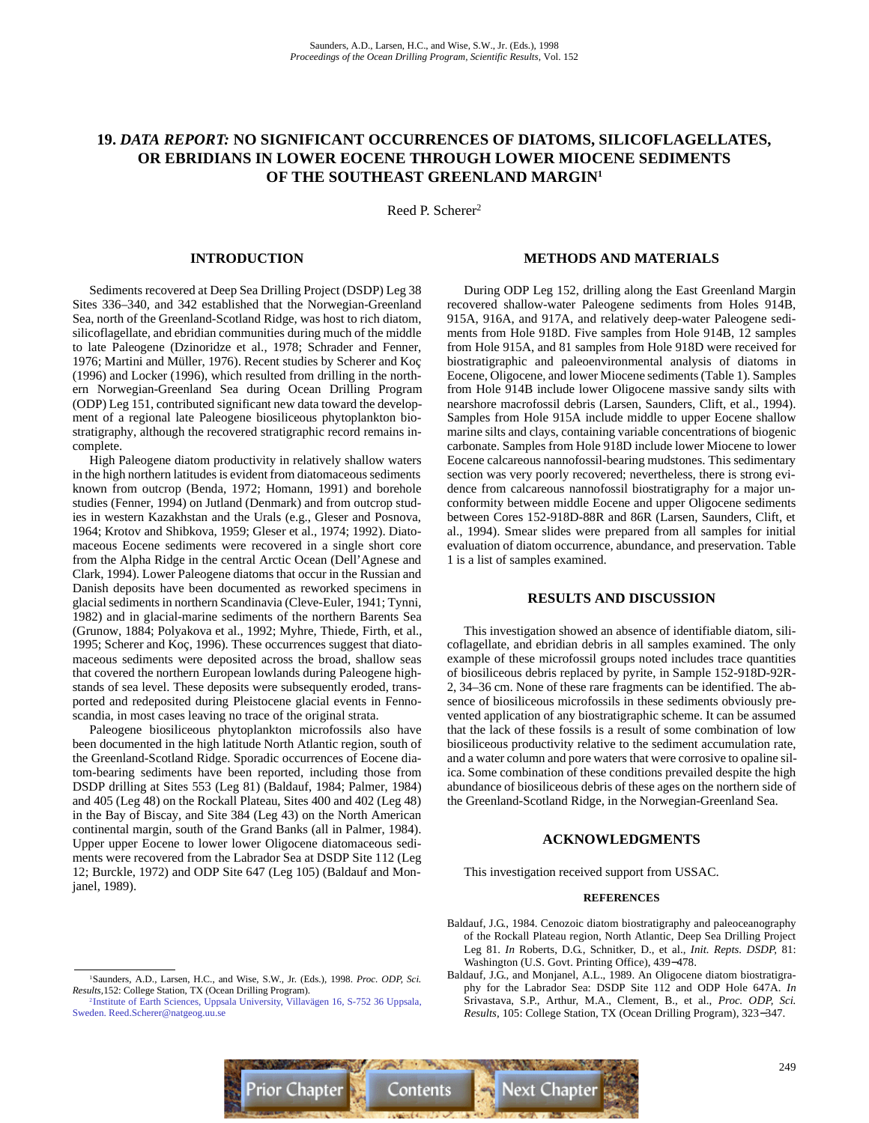# **19.** *DATA REPORT:* **NO SIGNIFICANT OCCURRENCES OF DIATOMS, SILICOFLAGELLATES, OR EBRIDIANS IN LOWER EOCENE THROUGH LOWER MIOCENE SEDIMENTS OF THE SOUTHEAST GREENLAND MARGIN1**

Reed P. Scherer<sup>2</sup>

## **INTRODUCTION**

Sediments recovered at Deep Sea Drilling Project (DSDP) Leg 38 Sites 336–340, and 342 established that the Norwegian-Greenland Sea, north of the Greenland-Scotland Ridge, was host to rich diatom, silicoflagellate, and ebridian communities during much of the middle to late Paleogene (Dzinoridze et al., 1978; Schrader and Fenner, 1976; Martini and Müller, 1976). Recent studies by Scherer and Koç (1996) and Locker (1996), which resulted from drilling in the northern Norwegian-Greenland Sea during Ocean Drilling Program (ODP) Leg 151, contributed significant new data toward the development of a regional late Paleogene biosiliceous phytoplankton biostratigraphy, although the recovered stratigraphic record remains incomplete.

High Paleogene diatom productivity in relatively shallow waters in the high northern latitudes is evident from diatomaceous sediments known from outcrop (Benda, 1972; Homann, 1991) and borehole studies (Fenner, 1994) on Jutland (Denmark) and from outcrop studies in western Kazakhstan and the Urals (e.g., Gleser and Posnova, 1964; Krotov and Shibkova, 1959; Gleser et al., 1974; 1992). Diatomaceous Eocene sediments were recovered in a single short core from the Alpha Ridge in the central Arctic Ocean (Dell'Agnese and Clark, 1994). Lower Paleogene diatoms that occur in the Russian and Danish deposits have been documented as reworked specimens in glacial sediments in northern Scandinavia (Cleve-Euler, 1941; Tynni, 1982) and in glacial-marine sediments of the northern Barents Sea (Grunow, 1884; Polyakova et al., 1992; Myhre, Thiede, Firth, et al., 1995; Scherer and Koç, 1996). These occurrences suggest that diatomaceous sediments were deposited across the broad, shallow seas that covered the northern European lowlands during Paleogene highstands of sea level. These deposits were subsequently eroded, transported and redeposited during Pleistocene glacial events in Fennoscandia, in most cases leaving no trace of the original strata.

Paleogene biosiliceous phytoplankton microfossils also have been documented in the high latitude North Atlantic region, south of the Greenland-Scotland Ridge. Sporadic occurrences of Eocene diatom-bearing sediments have been reported, including those from DSDP drilling at Sites 553 (Leg 81) (Baldauf, 1984; Palmer, 1984) and 405 (Leg 48) on the Rockall Plateau, Sites 400 and 402 (Leg 48) in the Bay of Biscay, and Site 384 (Leg 43) on the North American continental margin, south of the Grand Banks (all in Palmer, 1984). Upper upper Eocene to lower lower Oligocene diatomaceous sediments were recovered from the Labrador Sea at DSDP Site 112 (Leg 12; Burckle, 1972) and ODP Site 647 (Leg 105) (Baldauf and Monjanel, 1989).

### **METHODS AND MATERIALS**

During ODP Leg 152, drilling along the East Greenland Margin recovered shallow-water Paleogene sediments from Holes 914B, 915A, 916A, and 917A, and relatively deep-water Paleogene sediments from Hole 918D. Five samples from Hole 914B, 12 samples from Hole 915A, and 81 samples from Hole 918D were received for biostratigraphic and paleoenvironmental analysis of diatoms in Eocene, Oligocene, and lower Miocene sediments (Table 1). Samples from Hole 914B include lower Oligocene massive sandy silts with nearshore macrofossil debris (Larsen, Saunders, Clift, et al., 1994). Samples from Hole 915A include middle to upper Eocene shallow marine silts and clays, containing variable concentrations of biogenic carbonate. Samples from Hole 918D include lower Miocene to lower Eocene calcareous nannofossil-bearing mudstones. This sedimentary section was very poorly recovered; nevertheless, there is strong evidence from calcareous nannofossil biostratigraphy for a major unconformity between middle Eocene and upper Oligocene sediments between Cores 152-918D-88R and 86R (Larsen, Saunders, Clift, et al., 1994). Smear slides were prepared from all samples for initial evaluation of diatom occurrence, abundance, and preservation. Table 1 is a list of samples examined.

#### **RESULTS AND DISCUSSION**

This investigation showed an absence of identifiable diatom, silicoflagellate, and ebridian debris in all samples examined. The only example of these microfossil groups noted includes trace quantities of biosiliceous debris replaced by pyrite, in Sample 152-918D-92R-2, 34–36 cm. None of these rare fragments can be identified. The absence of biosiliceous microfossils in these sediments obviously prevented application of any biostratigraphic scheme. It can be assumed that the lack of these fossils is a result of some combination of low biosiliceous productivity relative to the sediment accumulation rate, and a water column and pore waters that were corrosive to opaline silica. Some combination of these conditions prevailed despite the high abundance of biosiliceous debris of these ages on the northern side of the Greenland-Scotland Ridge, in the Norwegian-Greenland Sea.

## **ACKNOWLEDGMENTS**

This investigation received support from USSAC.

#### **REFERENCES**

- Baldauf, J.G., 1984. Cenozoic diatom biostratigraphy and paleoceanography of the Rockall Plateau region, North Atlantic, Deep Sea Drilling Project Leg 81. *In* Roberts, D.G., Schnitker, D., et al., *Init. Repts. DSDP,* 81: Washington (U.S. Govt. Printing Office), 439−478.
- Baldauf, J.G., and Monjanel, A.L., 1989. An Oligocene diatom biostratigraphy for the Labrador Sea: DSDP Site 112 and ODP Hole 647A. *In* Srivastava, S.P., Arthur, M.A., Clement, B., et al., *Proc. ODP, Sci. Results,* 105: College Station, TX (Ocean Drilling Program), 323−347.

[<sup>2</sup>Institute of Earth Sciences, Uppsala University, Villavägen 16, S-752 36 Uppsala,](mailto:Reed.Scherer@natgeog.uu.se) Sweden. Reed.Scherer@natgeog.uu.se



<sup>1</sup>Saunders, A.D., Larsen, H.C., and Wise, S.W., Jr. (Eds.), 1998. *Proc. ODP, Sci. Results,*152: College Station, TX (Ocean Drilling Program).